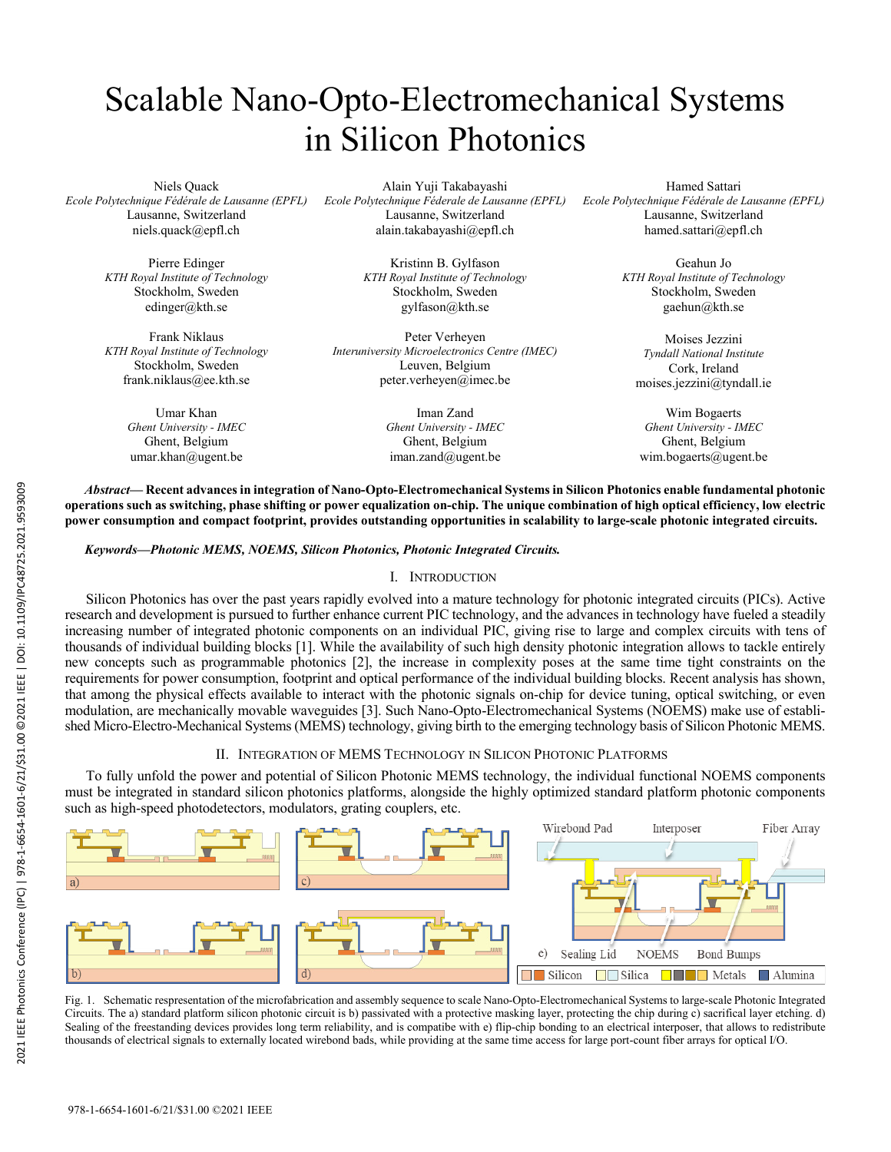# Scalable Nano-Opto-Electromechanical Systems in Silicon Photonics

Niels Quack *Ecole Polytechnique Fédérale de Lausanne (EPFL)* Lausanne, Switzerland niels.quack@epfl.ch

> Pierre Edinger *KTH Royal Institute of Technology* Stockholm, Sweden edinger@kth.se

Frank Niklaus *KTH Royal Institute of Technology* Stockholm, Sweden frank.niklaus@ee.kth.se

> Umar Khan *Ghent University - IMEC*  Ghent, Belgium umar.khan@ugent.be

Alain Yuji Takabayashi *Ecole Polytechnique Féderale de Lausanne (EPFL)* Lausanne, Switzerland alain.takabayashi@epfl.ch

> Kristinn B. Gylfason *KTH Royal Institute of Technology* Stockholm, Sweden gylfason@kth.se

Peter Verheyen *Interuniversity Microelectronics Centre (IMEC)* Leuven, Belgium peter.verheyen@imec.be

> Iman Zand *Ghent University - IMEC* Ghent, Belgium iman.zand@ugent.be

Hamed Sattari *Ecole Polytechnique Fédérale de Lausanne (EPFL)* Lausanne, Switzerland hamed.sattari@epfl.ch

> Geahun Jo *KTH Royal Institute of Technology* Stockholm, Sweden gaehun@kth.se

Moises Jezzini *Tyndall National Institute* Cork, Ireland moises.jezzini@tyndall.ie

Wim Bogaerts *Ghent University - IMEC* Ghent, Belgium wim.bogaerts@ugent.be

*Abstract***— Recent advances in integration of Nano-Opto-Electromechanical Systems in Silicon Photonics enable fundamental photonic operations such as switching, phase shifting or power equalization on-chip. The unique combination of high optical efficiency, low electric power consumption and compact footprint, provides outstanding opportunities in scalability to large-scale photonic integrated circuits.**

*Keywords—Photonic MEMS, NOEMS, Silicon Photonics, Photonic Integrated Circuits.* 

## I. INTRODUCTION

Silicon Photonics has over the past years rapidly evolved into a mature technology for photonic integrated circuits (PICs). Active research and development is pursued to further enhance current PIC technology, and the advances in technology have fueled a steadily increasing number of integrated photonic components on an individual PIC, giving rise to large and complex circuits with tens of thousands of individual building blocks [1]. While the availability of such high density photonic integration allows to tackle entirely new concepts such as programmable photonics [2], the increase in complexity poses at the same time tight constraints on the requirements for power consumption, footprint and optical performance of the individual building blocks. Recent analysis has shown, that among the physical effects available to interact with the photonic signals on-chip for device tuning, optical switching, or even modulation, are mechanically movable waveguides [3]. Such Nano-Opto-Electromechanical Systems (NOEMS) make use of established Micro-Electro-Mechanical Systems (MEMS) technology, giving birth to the emerging technology basis of Silicon Photonic MEMS.

# II. INTEGRATION OF MEMS TECHNOLOGY IN SILICON PHOTONIC PLATFORMS

To fully unfold the power and potential of Silicon Photonic MEMS technology, the individual functional NOEMS components must be integrated in standard silicon photonics platforms, alongside the highly optimized standard platform photonic components such as high-speed photodetectors, modulators, grating couplers, etc.



Fig. 1. Schematic respresentation of the microfabrication and assembly sequence to scale Nano-Opto-Electromechanical Systems to large-scale Photonic Integrated Circuits. The a) standard platform silicon photonic circuit is b) passivated with a protective masking layer, protecting the chip during c) sacrifical layer etching. d) Sealing of the freestanding devices provides long term reliability, and is compatibe with e) flip-chip bonding to an electrical interposer, that allows to redistribute thousands of electrical signals to externally located wirebond bads, while providing at the same time access for large port-count fiber arrays for optical I/O.